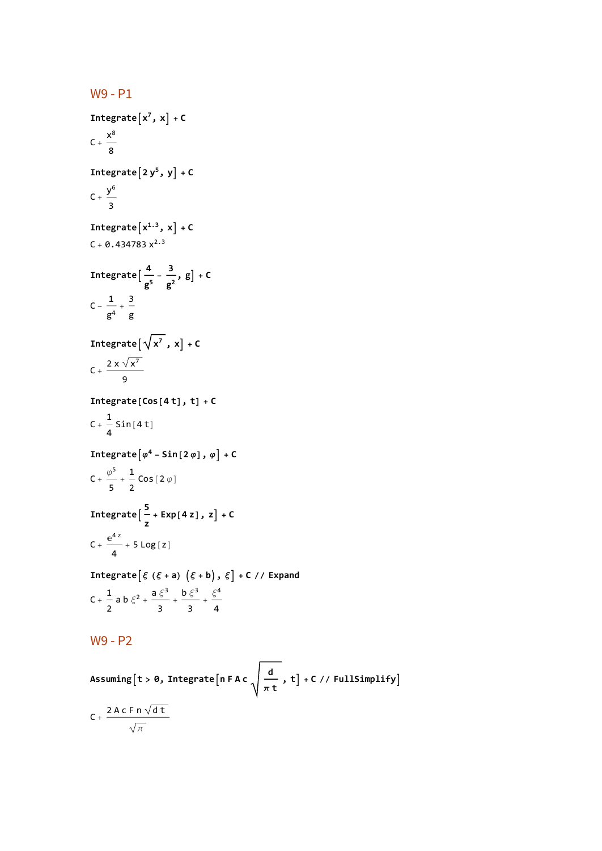W9 - P1 **Integrate** $\begin{bmatrix} x^7, x \end{bmatrix}$  + **C**  $C + \frac{x^8}{x^8}$ 8 **Integrate** $[2y^5, y] + C$  $C + \frac{y^6}{ }$ 3 **Integrate** $[x^{1.3}, x]$  + **C**  $C + 0.434783 x^{2.3}$ **Integrate**  $\left[\frac{4}{g^5} - \frac{3}{g^2}\right]$ **, g + C**  $C - \frac{1}{g^4} + \frac{3}{g}$ **Integrate**  $\left[\sqrt{x^7}, x\right]$  + **C**  $C + \frac{2 \times \sqrt{x^7}}{2}$ 9 **Integrate[Cos[4 t], t] + C**  $C + \frac{1}{2}$ 4  $Sin[4 t]$ *Integrate* $\left[\varphi^4 - \textsf{Sin}\left[2 \varphi\right], \varphi\right] + \textsf{C}$  $C + \frac{\varphi^5}{5} + \frac{1}{2}$  $Cos[2 \varphi]$ **Integrate <sup>5</sup> z + Exp[4 z], z + C**  $C + \frac{e^{4 z}}{4} + 5 \text{Log}[z]$ **Integrateξ (ξ + a) ξ + b, ξ + C // Expand**  $C + \frac{1}{2}$ 2 a b  $\xi^2 + \frac{a \xi^3}{3} + \frac{b \xi^3}{3} + \frac{\xi^4}{4}$ W9 - P2

 $\textsf{Assuming}$  [t > 0, Integrate  $\left\lceil n\mathsf{F}\right.\textsf{Ac}\right.\left.\left.\vphantom{\sum}\right.^{d}\right\rfloor$ **π t , t + C // FullSimplify**  $\mathsf{C}\ _+ \ \frac{\mathsf{2}\ \mathsf{A}\ \mathsf{c}\ \mathsf{F}\ \mathsf{n}\ \sqrt{\mathsf{d}\ \mathsf{t}}}{\mathsf{d}}$ π